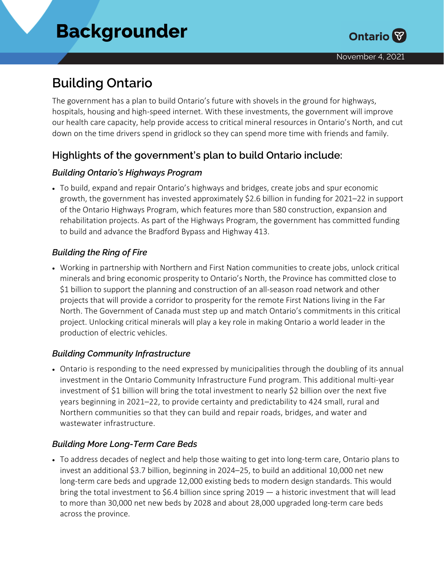# **Building Ontario**

The government has a plan to build Ontario's future with shovels in the ground for highways, hospitals, housing and high-speed internet. With these investments, the government will improve our health care capacity, help provide access to critical mineral resources in Ontario's North, and cut down on the time drivers spend in gridlock so they can spend more time with friends and family.

# **Highlights of the government's plan to build Ontario include:**

#### *Building Ontario's Highways Program*

• To build, expand and repair Ontario's highways and bridges, create jobs and spur economic growth, the government has invested approximately \$2.6 billion in funding for 2021–22 in support of the Ontario Highways Program, which features more than 580 construction, expansion and rehabilitation projects. As part of the Highways Program, the government has committed funding to build and advance the Bradford Bypass and Highway 413.

#### *Building the Ring of Fire*

• Working in partnership with Northern and First Nation communities to create jobs, unlock critical minerals and bring economic prosperity to Ontario's North, the Province has committed close to \$1 billion to support the planning and construction of an all-season road network and other projects that will provide a corridor to prosperity for the remote First Nations living in the Far North. The Government of Canada must step up and match Ontario's commitments in this critical project. Unlocking critical minerals will play a key role in making Ontario a world leader in the production of electric vehicles.

#### *Building Community Infrastructure*

• Ontario is responding to the need expressed by municipalities through the doubling of its annual investment in the Ontario Community Infrastructure Fund program. This additional multi-year investment of \$1 billion will bring the total investment to nearly \$2 billion over the next five years beginning in 2021–22, to provide certainty and predictability to 424 small, rural and Northern communities so that they can build and repair roads, bridges, and water and wastewater infrastructure.

## *Building More Long-Term Care Beds*

• To address decades of neglect and help those waiting to get into long-term care, Ontario plans to invest an additional \$3.7 billion, beginning in 2024–25, to build an additional 10,000 net new long-term care beds and upgrade 12,000 existing beds to modern design standards. This would bring the total investment to \$6.4 billion since spring 2019 — a historic investment that will lead to more than 30,000 net new beds by 2028 and about 28,000 upgraded long-term care beds across the province.